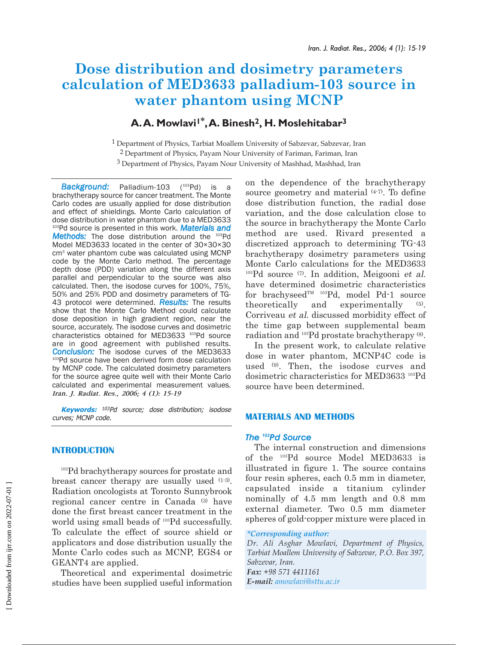# **Dose distribution and dosimetry parameters calculation of MED3633 palladium-103 source in water phantom using MCNP**

## **A.A. Mowlavi1\*,A. Binesh2, H. Moslehitabar3**

<sup>1</sup> Department of Physics, Tarbiat Moallem University of Sabzevar, Sabzevar, Iran 2 Department of Physics, Payam Nour University of Fariman, Fariman, Iran

3 Department of Physics, Payam Nour University of Mashhad, Mashhad, Iran

*Background:* Palladium-103 (103Pd) is a brachytherapy source for cancer treatment. The Monte Carlo codes are usually applied for dose distribution and effect of shieldings. Monte Carlo calculation of dose distribution in water phantom due to a MED3633 103Pd source is presented in this work. *Materials and Methods:* The dose distribution around the <sup>103</sup>Pd Model MED3633 located in the center of 30×30×30 cm3 water phantom cube was calculated using MCNP code by the Monte Carlo method. The percentage depth dose (PDD) variation along the different axis parallel and perpendicular to the source was also calculated. Then, the isodose curves for 100%, 75%, 50% and 25% PDD and dosimetry parameters of TG-43 protocol were determined. *Results:* The results show that the Monte Carlo Method could calculate dose deposition in high gradient region, near the source, accurately. The isodose curves and dosimetric characteristics obtained for MED3633 103Pd source are in good agreement with published results. *Conclusion:* The isodose curves of the MED3633 103Pd source have been derived form dose calculation by MCNP code. The calculated dosimetry parameters for the source agree quite well with their Monte Carlo calculated and experimental measurement values. *Iran. J. Radiat. Res., 2006; 4 (1): 15-19*

**Keywords:** <sup>103</sup>Pd source; dose distribution; isodose curves; MCNP code.

### **INTRODUCTION**

<sup>103</sup>Pd brachytherapy sources for prostate and breast cancer therapy are usually used (1-3). Radiation oncologists at Toronto Sunnybrook regional cancer centre in Canada (3) have done the first breast cancer treatment in the world using small beads of <sup>103</sup>Pd successfully. To calculate the effect of source shield or applicators and dose distribution usually the Monte Carlo codes such as MCNP, EGS4 or GEANT4 are applied.

Theoretical and experimental dosimetric studies have been supplied useful information

on the dependence of the brachytherapy source geometry and material (4-7). To define dose distribution function, the radial dose variation, and the dose calculation close to the source in brachytherapy the Monte Carlo method are used. Rivard presented a discretized approach to determining TG-43 brachytherapy dosimetry parameters using Monte Carlo calculations for the MED3633  $103Pd$  source  $(7)$ . In addition, Meigooni et al. have determined dosimetric characteristics for brachyseed $T^M$ <sup>103</sup>Pd, model Pd-1 source theoretically and experimentally (5). Corriveau et al. discussed morbidity effect of the time gap between supplemental beam radiation and 103Pd prostate brachytherapy (8).

In the present work, to calculate relative dose in water phantom, MCNP4C code is used (9). Then, the isodose curves and dosimetric characteristics for MED3633 103Pd source have been determined.

### **MATERIALS AND METHODS**

### *The 103Pd Source*

The internal construction and dimensions of the 103Pd source Model MED3633 is illustrated in figure 1. The source contains four resin spheres, each 0.5 mm in diameter, capsulated inside a titanium cylinder nominally of 4.5 mm length and 0.8 mm external diameter. Two 0.5 mm diameter spheres of gold-copper mixture were placed in

*Dr. Ali Asghar Mowlavi, Department of Physics, Tarbiat Moallem University of Sabzevar, P.O. Box 397, Sabzevar, Iran. Fax: +98 571 4411161 E-mail: amowlavi@sttu.ac.ir*

*<sup>\*</sup>Corresponding author:*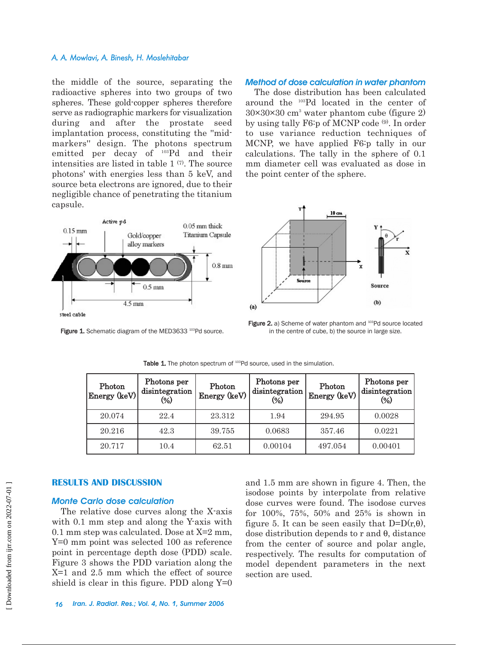#### *A. A. Mowlavi, A. Binesh, H. Moslehitabar*

the middle of the source, separating the radioactive spheres into two groups of two spheres. These gold-copper spheres therefore serve as radiographic markers for visualization during and after the prostate seed implantation process, constituting the ''midmarkers'' design. The photons spectrum emitted per decay of 103Pd and their intensities are listed in table  $1^{(7)}$ . The source photons' with energies less than 5 keV, and source beta electrons are ignored, due to their negligible chance of penetrating the titanium capsule.



Figure 1. Schematic diagram of the MED3633<sup>103</sup>Pd source.

### *Method of dose calculation in water phantom*

The dose distribution has been calculated around the 103Pd located in the center of  $30\times30\times30$  cm<sup>3</sup> water phantom cube (figure 2) by using tally F6:p of MCNP code (9). In order to use variance reduction techniques of MCNP, we have applied F6:p tally in our calculations. The tally in the sphere of 0.1 mm diameter cell was evaluated as dose in the point center of the sphere.



Figure 2. a) Scheme of water phantom and <sup>103</sup>Pd source located in the centre of cube, b) the source in large size.

| Photon<br>$\vert$ Energy (keV) $\vert$ | Photons per<br>disintegration<br>(%) | Photon<br>Energy (keV) | Photons per<br>disintegration<br>$\frac{1}{2}$ | Photon<br>Energy (keV) | Photons per<br>disintegration<br>$\left(\frac{9}{6}\right)$ |
|----------------------------------------|--------------------------------------|------------------------|------------------------------------------------|------------------------|-------------------------------------------------------------|
| 20.074                                 | 22.4                                 | 23.312                 | 1.94                                           | 294.95                 | 0.0028                                                      |
| 20.216                                 | 42.3                                 | 39.755                 | 0.0683                                         | 357.46                 | 0.0221                                                      |
| 20.717                                 | 10.4                                 | 62.51                  | 0.00104                                        | 497.054                | 0.00401                                                     |

Table 1. The photon spectrum of <sup>103</sup>Pd source, used in the simulation.

### **RESULTS AND DISCUSSION**

### *Monte Carlo dose calculation*

The relative dose curves along the X-axis with 0.1 mm step and along the Y-axis with 0.1 mm step was calculated. Dose at X=2 mm, Y=0 mm point was selected 100 as reference point in percentage depth dose (PDD) scale. Figure 3 shows the PDD variation along the X=1 and 2.5 mm which the effect of source shield is clear in this figure. PDD along  $Y=0$ 

and 1.5 mm are shown in figure 4. Then, the isodose points by interpolate from relative dose curves were found. The isodose curves for 100%, 75%, 50% and 25% is shown in figure 5. It can be seen easily that  $D=D(r,\theta)$ , dose distribution depends to r and θ, distance from the center of source and polar angle, respectively. The results for computation of model dependent parameters in the next section are used.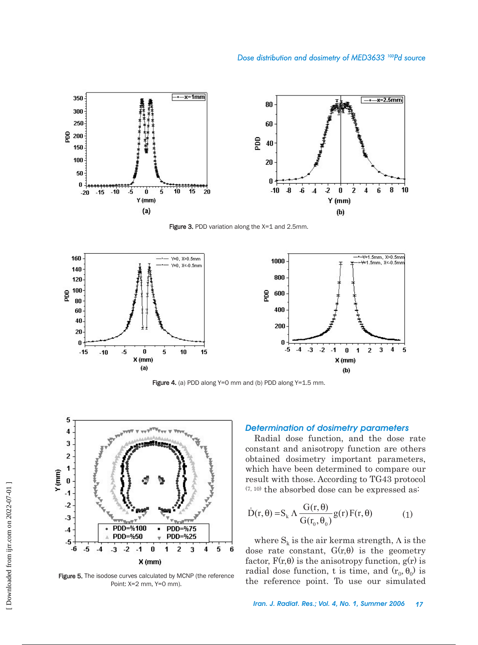

Figure 3. PDD variation along the X=1 and 2.5mm.



Figure 4. (a) PDD along Y=0 mm and (b) PDD along Y=1.5 mm.



Figure 5. The isodose curves calculated by MCNP (the reference Point: X=2 mm, Y=0 mm).

#### *Determination of dosimetry parameters*

Radial dose function, and the dose rate constant and anisotropy function are others obtained dosimetry important parameters, which have been determined to compare our result with those. According to TG43 protocol  $(7, 10)$  the absorbed dose can be expressed as:

$$
\dot{D}(r,\theta) = S_k \Lambda \frac{G(r,\theta)}{G(r_0,\theta_0)} g(r) F(r,\theta)
$$
 (1)

where  $S_k$  is the air kerma strength,  $\Lambda$  is the dose rate constant,  $G(r, \theta)$  is the geometry factor,  $F(r, \theta)$  is the anisotropy function,  $g(r)$  is radial dose function, t is time, and  $(r_0, \theta_0)$  is the reference point. To use our simulated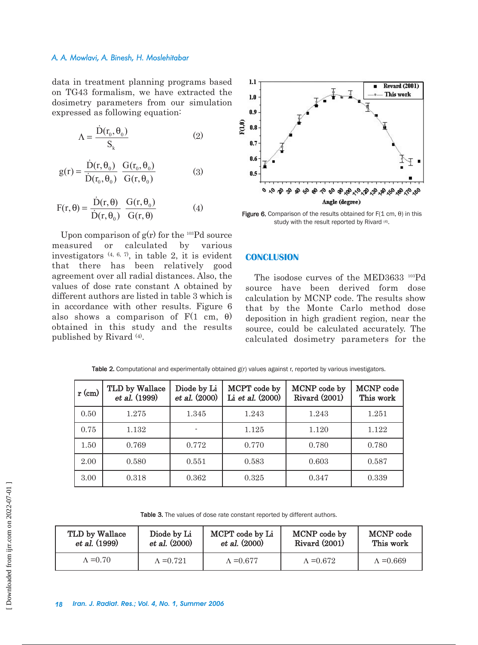### *A. A. Mowlavi, A. Binesh, H. Moslehitabar*

data in treatment planning programs based on TG43 formalism, we have extracted the dosimetry parameters from our simulation expressed as following equation:

$$
\Lambda = \frac{\dot{D}(r_0, \theta_0)}{S_k} \tag{2}
$$

$$
g(r) = \frac{\dot{D}(r, \theta_0)}{\dot{D}(r_0, \theta_0)} \frac{G(r_0, \theta_0)}{G(r, \theta_0)}
$$
(3)

$$
F(r, \theta) = \frac{\dot{D}(r, \theta)}{\dot{D}(r, \theta_0)} \frac{G(r, \theta_0)}{G(r, \theta)}
$$
(4)

Upon comparison of  $g(r)$  for the <sup>103</sup>Pd source measured or calculated by various investigators  $(4, 6, 7)$ , in table 2, it is evident that there has been relatively good agreement over all radial distances. Also, the values of dose rate constant Λ obtained by different authors are listed in table 3 which is in accordance with other results. Figure 6 also shows a comparison of  $F(1 \text{ cm}, \theta)$ obtained in this study and the results published by Rivard (4).



Figure 6. Comparison of the results obtained for  $F(1 \text{ cm}, \theta)$  in this study with the result reported by Rivard (4).

### **CONCLUSION**

The isodose curves of the MED3633 103Pd source have been derived form dose calculation by MCNP code. The results show that by the Monte Carlo method dose deposition in high gradient region, near the source, could be calculated accurately. The calculated dosimetry parameters for the

| $r$ (cm) | TLD by Wallace<br>et al. (1999) | Diode by Li<br>et al. (2000) | MCPT code by<br>Li et al. (2000) | MCNP code by<br><b>Rivard (2001)</b> | MCNP code<br>This work |
|----------|---------------------------------|------------------------------|----------------------------------|--------------------------------------|------------------------|
| 0.50     | 1.275                           | 1.345                        | 1.243                            | 1.243                                | 1.251                  |
| 0.75     | 1.132                           |                              | 1.125                            | 1.120                                | 1.122                  |
| 1.50     | 0.769                           | 0.772                        | 0.770                            | 0.780                                | 0.780                  |
| 2.00     | 0.580                           | 0.551                        | 0.583                            | 0.603                                | 0.587                  |
| 3.00     | 0.318                           | 0.362                        | 0.325                            | 0.347                                | 0.339                  |

Table 2. Computational and experimentally obtained  $g(r)$  values against r, reported by various investigators.

Table 3. The values of dose rate constant reported by different authors.

| TLD by Wallace   | Diode by Li       | MCPT code by Li   | MCNP code by         | MCNP code         |
|------------------|-------------------|-------------------|----------------------|-------------------|
| et al. (1999)    | et al. (2000)     | et al. (2000)     | <b>Rivard (2001)</b> | This work         |
| $\Lambda = 0.70$ | $\Lambda = 0.721$ | $\Lambda = 0.677$ | $\Lambda = 0.672$    | $\Lambda = 0.669$ |